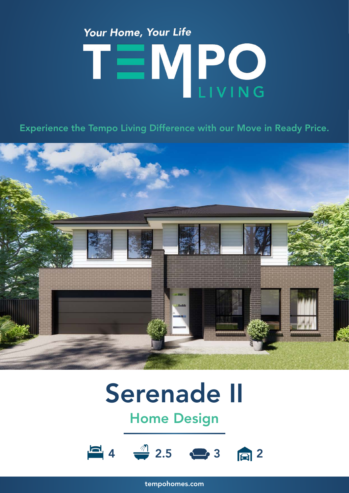# Your Home, Your Life TEMPO

Experience the Tempo Living Difference with our Move in Ready Price.



## Serenade II

### Home Design



tempohomes.com